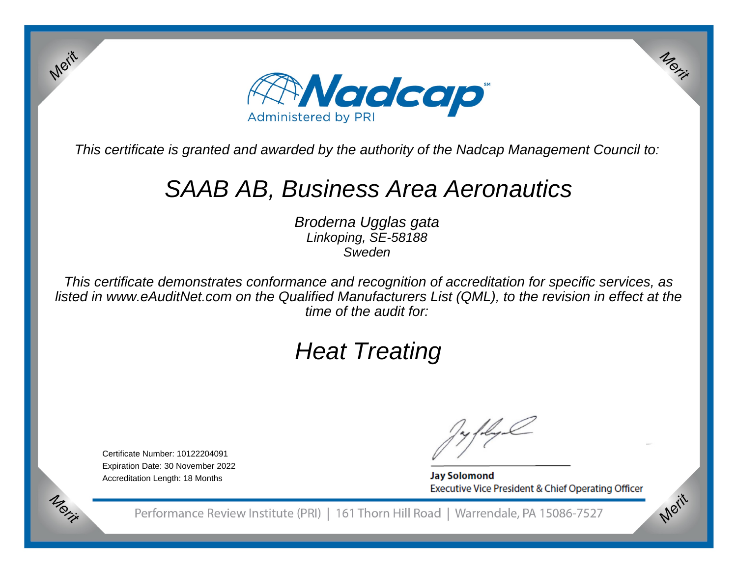

This certificate is granted and awarded by the authority of the Nadcap Management Council to:

# SAAB AB, Business Area Aeronautics

Broderna Ugglas gataLinkoping, SE-58188Sweden

This certificate demonstrates conformance and recognition of accreditation for specific services, as listed in www.eAuditNet.com on the Qualified Manufacturers List (QML), to the revision in effect at thetime of the audit for:

# Heat Treating

Certificate Number: 10122204091 Expiration Date: 30 November 2022Accreditation Length: 18 Months

Merit

Merit

**Jay Solomond** Executive Vice President & Chief Operating Officer Merit

Merit

Performance Review Institute (PRI) | 161 Thorn Hill Road | Warrendale, PA 15086-7527